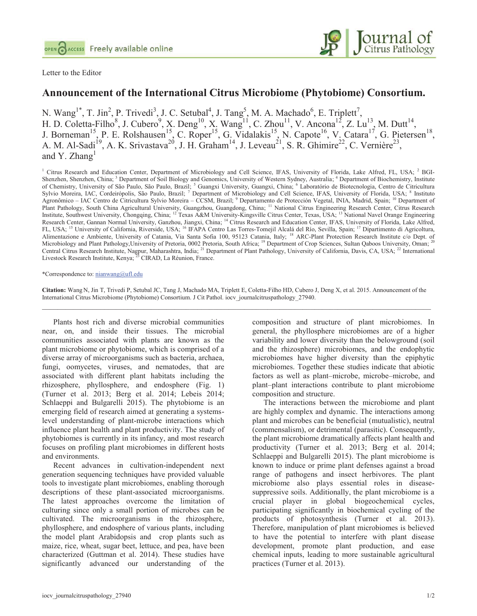



## **Announcement of the International Citrus Microbiome (Phytobiome) Consortium.**

N. Wang<sup>1\*</sup>, T. Jin<sup>2</sup>, P. Trivedi<sup>3</sup>, J. C. Setubal<sup>4</sup>, J. Tang<sup>5</sup>, M. A. Machado<sup>6</sup>, E. Triplett<sup>7</sup>, H. D. Coletta-Filho<sup>8</sup>, J. Cubero<sup>9</sup>, X. Deng<sup>10</sup>, X. Wang<sup>11</sup>, C. Zhou<sup>11</sup>, V. Ancona<sup>12</sup>, Z. Lu<sup>13</sup>, M. Dutt<sup>14</sup>, J. Borneman<sup>15</sup>, P. E. Rolshausen<sup>15</sup>, C. Roper<sup>15</sup>, G. Vidalakis<sup>15</sup>, N. Capote<sup>16</sup>, V. Catara<sup>17</sup>, G. Pietersen<sup>18</sup>, A. M. Al-Sadi<sup>19</sup>, A. K. Srivastava<sup>20</sup>, J. H. Graham<sup>14</sup>, J. Leveau<sup>21</sup>, S. R. Ghimire<sup>22</sup>, C. Vernière<sup>23</sup>, and Y. Zhang<sup>1</sup>

<sup>1</sup> Citrus Research and Education Center, Department of Microbiology and Cell Science, IFAS, University of Florida, Lake Alfred, FL, USA; <sup>2</sup> BGI-Shenzhen, Shenzhen, China; <sup>3</sup> Department of Soil Biology and Genomics, University of Western Sydney, Australia; <sup>4</sup> Department of Biochemistry, Institute of Chemistry, University of São Paulo, São Paulo, Brazil; <sup>5</sup> Guangxi University, Guangxi, China; <sup>6</sup> Laboratório de Biotecnologia, Centro de Citricultura Sylvio Moreira, IAC, Cordeirópolis, São Paulo, Brazil; 7 Department of Microbiology and Cell Science, IFAS, University of Florida, USA; 8 Instituto Agronômico – IAC Centro de Citricultura Sylvio Moreira – CCSM, Brazil; <sup>9</sup> Departamento de Protección Vegetal, INIA, Madrid, Spain; <sup>10</sup> Department of Plant Pathology, South China Agricultural University, Guangzhou, Guangdong, China; 11 National Citrus Engineering Research Center, Citrus Research Institute, Southwest University, Chongqing, China; 12 Texas A&M University-Kingsville Citrus Center, Texas, USA; 13 National Navel Orange Engineering Research Center, Gannan Normal University, Ganzhou, Jiangxi, China; <sup>14</sup> Citrus Research and Education Center, IFAS, University of Florida, Lake Alfred, FL, USA; 15 University of California, Riverside, USA; 16 IFAPA Centro Las Torres-Tomejil Alcalá del Río, Sevilla, Spain; 17 Dipartimento di Agricoltura, Alimentazione e Ambiente, University of Catania, Via Santa Sofia 100, 95123 Catania, Italy; 18 ARC-Plant Protection Research Institute c/o Dept. of Microbiology and Plant Pathology,University of Pretoria, 0002 Pretoria, South Africa; <sup>19</sup> Department of Crop Sciences, Sultan Qaboos University, Oman; <sup>20</sup> Central Citrus Research Institute, Nagpur, Maharashtra, India; <sup>21</sup> Department of Plant Pathology, University of California, Davis, CA, USA; <sup>22</sup> International Livestock Research Institute, Kenya; <sup>23</sup> CIRAD, La Réunion, France.

\*Correspondence to: nianwang@ufl.edu

**Citation:** Wang N, Jin T, Trivedi P, Setubal JC, Tang J, Machado MA, Triplett E, Coletta-Filho HD, Cubero J, Deng X, et al. 2015. Announcement of the International Citrus Microbiome (Phytobiome) Consortium. J Cit Pathol. iocv\_journalcitruspathology\_27940.  $\mathcal{L}_\mathcal{L} = \mathcal{L}_\mathcal{L} = \mathcal{L}_\mathcal{L} = \mathcal{L}_\mathcal{L} = \mathcal{L}_\mathcal{L} = \mathcal{L}_\mathcal{L} = \mathcal{L}_\mathcal{L} = \mathcal{L}_\mathcal{L} = \mathcal{L}_\mathcal{L} = \mathcal{L}_\mathcal{L} = \mathcal{L}_\mathcal{L} = \mathcal{L}_\mathcal{L} = \mathcal{L}_\mathcal{L} = \mathcal{L}_\mathcal{L} = \mathcal{L}_\mathcal{L} = \mathcal{L}_\mathcal{L} = \mathcal{L}_\mathcal{L}$ 

Plants host rich and diverse microbial communities near, on, and inside their tissues. The microbial communities associated with plants are known as the plant microbiome or phytobiome, which is comprised of a diverse array of microorganisms such as bacteria, archaea, fungi, oomycetes, viruses, and nematodes, that are associated with different plant habitats including the rhizosphere, phyllosphere, and endosphere (Fig. 1) (Turner et al. 2013; Berg et al. 2014; Lebeis 2014; Schlaeppi and Bulgarelli 2015). The phytobiome is an emerging field of research aimed at generating a systemslevel understanding of plant-microbe interactions which influence plant health and plant productivity. The study of phytobiomes is currently in its infancy, and most research focuses on profiling plant microbiomes in different hosts and environments.

Recent advances in cultivation-independent next generation sequencing techniques have provided valuable tools to investigate plant microbiomes, enabling thorough descriptions of these plant-associated microorganisms. The latest approaches overcome the limitation of culturing since only a small portion of microbes can be cultivated. The microorganisms in the rhizosphere, phyllosphere, and endosphere of various plants, including the model plant Arabidopsis and crop plants such as maize, rice, wheat, sugar beet, lettuce, and pea, have been characterized (Guttman et al. 2014). These studies have significantly advanced our understanding of the composition and structure of plant microbiomes. In general, the phyllosphere microbiomes are of a higher variability and lower diversity than the belowground (soil and the rhizosphere) microbiomes, and the endophytic microbiomes have higher diversity than the epiphytic microbiomes. Together these studies indicate that abiotic factors as well as plant–microbe, microbe–microbe, and plant–plant interactions contribute to plant microbiome composition and structure.

The interactions between the microbiome and plant are highly complex and dynamic. The interactions among plant and microbes can be beneficial (mutualistic), neutral (commensalism), or detrimental (parasitic). Consequently, the plant microbiome dramatically affects plant health and productivity (Turner et al. 2013; Berg et al. 2014; Schlaeppi and Bulgarelli 2015). The plant microbiome is known to induce or prime plant defenses against a broad range of pathogens and insect herbivores. The plant microbiome also plays essential roles in diseasesuppressive soils. Additionally, the plant microbiome is a crucial player in global biogeochemical cycles, participating significantly in biochemical cycling of the products of photosynthesis (Turner et al. 2013). Therefore, manipulation of plant microbiomes is believed to have the potential to interfere with plant disease development, promote plant production, and ease chemical inputs, leading to more sustainable agricultural practices (Turner et al. 2013).